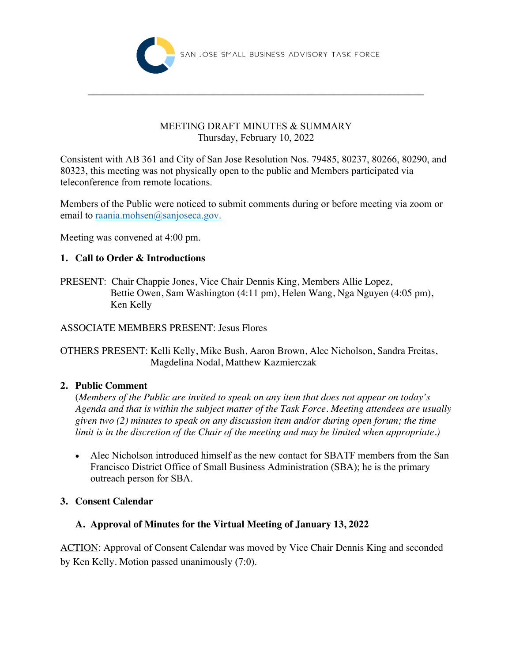

## MEETING DRAFT MINUTES & SUMMARY Thursday, February 10, 2022

**\_\_\_\_\_\_\_\_\_\_\_\_\_\_\_\_\_\_\_\_\_\_\_\_\_\_\_\_\_\_\_\_\_\_\_\_\_\_\_\_\_\_\_\_\_\_\_\_\_\_\_\_\_\_\_\_\_\_\_\_\_\_\_\_\_\_\_**

Consistent with AB 361 and City of San Jose Resolution Nos. 79485, 80237, 80266, 80290, and 80323, this meeting was not physically open to the public and Members participated via teleconference from remote locations.

Members of the Public were noticed to submit comments during or before meeting via zoom or email to raania.mohsen@sanjoseca.gov.

Meeting was convened at 4:00 pm.

## **1. Call to Order & Introductions**

PRESENT: Chair Chappie Jones, Vice Chair Dennis King, Members Allie Lopez, Bettie Owen, Sam Washington (4:11 pm), Helen Wang, Nga Nguyen (4:05 pm), Ken Kelly

## ASSOCIATE MEMBERS PRESENT: Jesus Flores

OTHERS PRESENT: Kelli Kelly, Mike Bush, Aaron Brown, Alec Nicholson, Sandra Freitas, Magdelina Nodal, Matthew Kazmierczak

## **2. Public Comment**

(*Members of the Public are invited to speak on any item that does not appear on today's Agenda and that is within the subject matter of the Task Force. Meeting attendees are usually given two (2) minutes to speak on any discussion item and/or during open forum; the time limit is in the discretion of the Chair of the meeting and may be limited when appropriate.)*

• Alec Nicholson introduced himself as the new contact for SBATF members from the San Francisco District Office of Small Business Administration (SBA); he is the primary outreach person for SBA.

## **3. Consent Calendar**

## **A. Approval of Minutes for the Virtual Meeting of January 13, 2022**

ACTION: Approval of Consent Calendar was moved by Vice Chair Dennis King and seconded by Ken Kelly. Motion passed unanimously (7:0).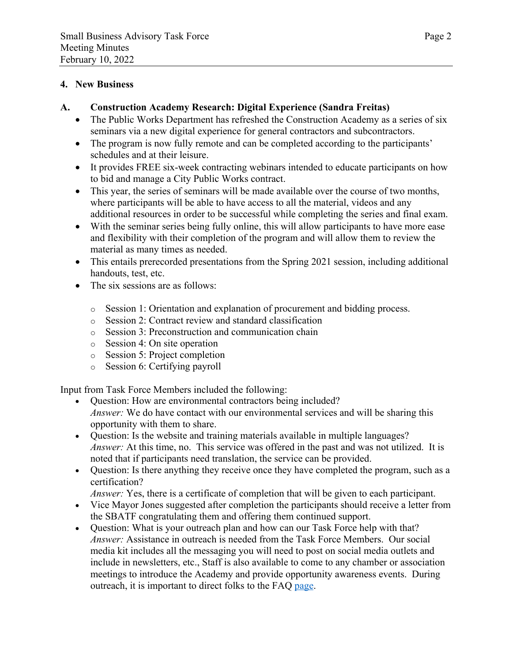#### **4. New Business**

#### **A. Construction Academy Research: Digital Experience (Sandra Freitas)**

- The Public Works Department has refreshed the Construction Academy as a series of six seminars via a new digital experience for general contractors and subcontractors.
- The program is now fully remote and can be completed according to the participants' schedules and at their leisure.
- It provides FREE six-week contracting webinars intended to educate participants on how to bid and manage a City Public Works contract.
- This year, the series of seminars will be made available over the course of two months, where participants will be able to have access to all the material, videos and any additional resources in order to be successful while completing the series and final exam.
- With the seminar series being fully online, this will allow participants to have more ease and flexibility with their completion of the program and will allow them to review the material as many times as needed.
- This entails prerecorded presentations from the Spring 2021 session, including additional handouts, test, etc.
- The six sessions are as follows:
	- o Session 1: Orientation and explanation of procurement and bidding process.
	- o Session 2: Contract review and standard classification
	- o Session 3: Preconstruction and communication chain
	- o Session 4: On site operation
	- o Session 5: Project completion
	- o Session 6: Certifying payroll

Input from Task Force Members included the following:

- Ouestion: How are environmental contractors being included? *Answer:* We do have contact with our environmental services and will be sharing this opportunity with them to share.
- Question: Is the website and training materials available in multiple languages? *Answer:* At this time, no. This service was offered in the past and was not utilized. It is noted that if participants need translation, the service can be provided.
- Question: Is there anything they receive once they have completed the program, such as a certification?

*Answer:* Yes, there is a certificate of completion that will be given to each participant.

- Vice Mayor Jones suggested after completion the participants should receive a letter from the SBATF congratulating them and offering them continued support.
- Question: What is your outreach plan and how can our Task Force help with that? *Answer:* Assistance in outreach is needed from the Task Force Members. Our social media kit includes all the messaging you will need to post on social media outlets and include in newsletters, etc., Staff is also available to come to any chamber or association meetings to introduce the Academy and provide opportunity awareness events. During outreach, it is important to direct folks to the FAQ page.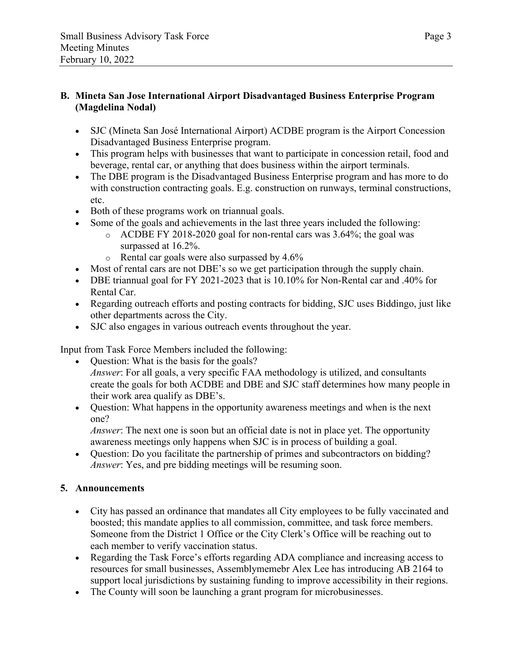## **B. Mineta San Jose International Airport Disadvantaged Business Enterprise Program (Magdelina Nodal)**

- SJC (Mineta San José International Airport) ACDBE program is the Airport Concession Disadvantaged Business Enterprise program.
- This program helps with businesses that want to participate in concession retail, food and beverage, rental car, or anything that does business within the airport terminals.
- The DBE program is the Disadvantaged Business Enterprise program and has more to do with construction contracting goals. E.g. construction on runways, terminal constructions, etc.
- Both of these programs work on triannual goals.
- Some of the goals and achievements in the last three years included the following:
	- o ACDBE FY 2018-2020 goal for non-rental cars was 3.64%; the goal was surpassed at 16.2%.
	- o Rental car goals were also surpassed by 4.6%
- Most of rental cars are not DBE's so we get participation through the supply chain.
- DBE triannual goal for FY 2021-2023 that is 10.10% for Non-Rental car and .40% for Rental Car.
- Regarding outreach efforts and posting contracts for bidding, SJC uses Biddingo, just like other departments across the City.
- SJC also engages in various outreach events throughout the year.

Input from Task Force Members included the following:

- Question: What is the basis for the goals? *Answer*: For all goals, a very specific FAA methodology is utilized, and consultants create the goals for both ACDBE and DBE and SJC staff determines how many people in their work area qualify as DBE's.
- Question: What happens in the opportunity awareness meetings and when is the next one?

*Answer*: The next one is soon but an official date is not in place yet. The opportunity awareness meetings only happens when SJC is in process of building a goal.

• Question: Do you facilitate the partnership of primes and subcontractors on bidding? *Answer*: Yes, and pre bidding meetings will be resuming soon.

# **5. Announcements**

- City has passed an ordinance that mandates all City employees to be fully vaccinated and boosted; this mandate applies to all commission, committee, and task force members. Someone from the District 1 Office or the City Clerk's Office will be reaching out to each member to verify vaccination status.
- Regarding the Task Force's efforts regarding ADA compliance and increasing access to resources for small businesses, Assemblymemebr Alex Lee has introducing AB 2164 to support local jurisdictions by sustaining funding to improve accessibility in their regions.
- The County will soon be launching a grant program for microbusinesses.